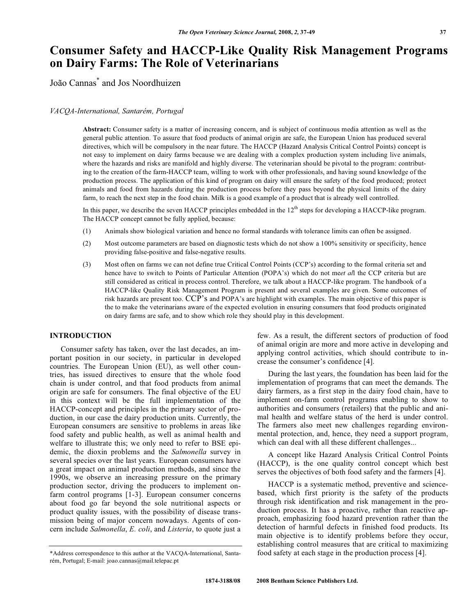# **Consumer Safety and HACCP-Like Quality Risk Management Programs on Dairy Farms: The Role of Veterinarians**

João Cannas\* and Jos Noordhuizen

### *VACQA-International, Santarém, Portugal*

**Abstract:** Consumer safety is a matter of increasing concern, and is subject of continuous media attention as well as the general public attention. To assure that food products of animal origin are safe, the European Union has produced several directives, which will be compulsory in the near future. The HACCP (Hazard Analysis Critical Control Points) concept is not easy to implement on dairy farms because we are dealing with a complex production system including live animals, where the hazards and risks are manifold and highly diverse. The veterinarian should be pivotal to the program: contributing to the creation of the farm-HACCP team, willing to work with other professionals, and having sound knowledge of the production process. The application of this kind of program on dairy will ensure the safety of the food produced; protect animals and food from hazards during the production process before they pass beyond the physical limits of the dairy farm, to reach the next step in the food chain. Milk is a good example of a product that is already well controlled.

In this paper, we describe the seven HACCP principles embedded in the  $12<sup>th</sup>$  steps for developing a HACCP-like program. The HACCP concept cannot be fully applied, because:

- (1) Animals show biological variation and hence no formal standards with tolerance limits can often be assigned.
- (2) Most outcome parameters are based on diagnostic tests which do not show a 100% sensitivity or specificity, hence providing false-positive and false-negative results.
- (3) Most often on farms we can not define true Critical Control Points (CCP's) according to the formal criteria set and hence have to switch to Points of Particular Attention (POPA's) which do not me*et al*l the CCP criteria but are still considered as critical in process control. Therefore, we talk about a HACCP-like program. The handbook of a HACCP-like Quality Risk Management Program is present and several examples are given. Some outcomes of risk hazards are present too. CCP's and POPA's are highlight with examples. The main objective of this paper is the to make the veterinarians aware of the expected evolution in ensuring consumers that food products originated on dairy farms are safe, and to show which role they should play in this development.

# **INTRODUCTION**

 Consumer safety has taken, over the last decades, an important position in our society, in particular in developed countries. The European Union (EU), as well other countries, has issued directives to ensure that the whole food chain is under control, and that food products from animal origin are safe for consumers. The final objective of the EU in this context will be the full implementation of the HACCP-concept and principles in the primary sector of production, in our case the dairy production units. Currently, the European consumers are sensitive to problems in areas like food safety and public health, as well as animal health and welfare to illustrate this; we only need to refer to BSE epidemic, the dioxin problems and the *Salmonella* survey in several species over the last years. European consumers have a great impact on animal production methods, and since the 1990s, we observe an increasing pressure on the primary production sector, driving the producers to implement onfarm control programs [1-3]. European consumer concerns about food go far beyond the sole nutritional aspects or product quality issues, with the possibility of disease transmission being of major concern nowadays. Agents of concern include *Salmonella*, *E. coli*, and *Listeria*, to quote just a

few. As a result, the different sectors of production of food of animal origin are more and more active in developing and applying control activities, which should contribute to increase the consumer's confidence [4].

 During the last years, the foundation has been laid for the implementation of programs that can meet the demands. The dairy farmers, as a first step in the dairy food chain, have to implement on-farm control programs enabling to show to authorities and consumers (retailers) that the public and animal health and welfare status of the herd is under control. The farmers also meet new challenges regarding environmental protection, and, hence, they need a support program, which can deal with all these different challenges...

 A concept like Hazard Analysis Critical Control Points (HACCP), is the one quality control concept which best serves the objectives of both food safety and the farmers [4].

 HACCP is a systematic method, preventive and sciencebased, which first priority is the safety of the products through risk identification and risk management in the production process. It has a proactive, rather than reactive approach, emphasizing food hazard prevention rather than the detection of harmful defects in finished food products. Its main objective is to identify problems before they occur, establishing control measures that are critical to maximizing food safety at each stage in the production process [4].

<sup>\*</sup>Address correspondence to this author at the VACQA-International, Santarém, Portugal; E-mail: joao.cannas@mail.telepac.pt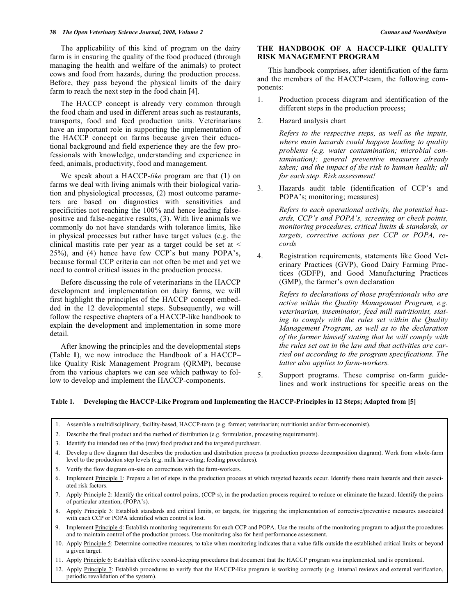The applicability of this kind of program on the dairy farm is in ensuring the quality of the food produced (through managing the health and welfare of the animals) to protect cows and food from hazards, during the production process. Before, they pass beyond the physical limits of the dairy farm to reach the next step in the food chain [4].

 The HACCP concept is already very common through the food chain and used in different areas such as restaurants, transports, food and feed production units. Veterinarians have an important role in supporting the implementation of the HACCP concept on farms because given their educational background and field experience they are the few professionals with knowledge, understanding and experience in feed, animals, productivity, food and management.

 We speak about a HACCP-*like* program are that (1) on farms we deal with living animals with their biological variation and physiological processes, (2) most outcome parameters are based on diagnostics with sensitivities and specificities not reaching the 100% and hence leading falsepositive and false-negative results, (3). With live animals we commonly do not have standards with tolerance limits, like in physical processes but rather have target values (e.g. the clinical mastitis rate per year as a target could be set at < 25%), and (4) hence have few CCP's but many POPA's, because formal CCP criteria can not often be met and yet we need to control critical issues in the production process.

 Before discussing the role of veterinarians in the HACCP development and implementation on dairy farms, we will first highlight the principles of the HACCP concept embedded in the 12 developmental steps. Subsequently, we will follow the respective chapters of a HACCP-like handbook to explain the development and implementation in some more detail.

 After knowing the principles and the developmental steps (Table **1**), we now introduce the Handbook of a HACCP– like Quality Risk Management Program (QRMP), because from the various chapters we can see which pathway to follow to develop and implement the HACCP-components.

# **THE HANDBOOK OF A HACCP-LIKE QUALITY RISK MANAGEMENT PROGRAM**

 This handbook comprises, after identification of the farm and the members of the HACCP-team, the following components:

- 1. Production process diagram and identification of the different steps in the production process;
- 2. Hazard analysis chart

 *Refers to the respective steps, as well as the inputs, where main hazards could happen leading to quality problems (e.g. water contamination; microbial contamination); general preventive measures already taken; and the impact of the risk to human health; all for each step. Risk assessment!* 

3. Hazards audit table (identification of CCP's and POPA's; monitoring; measures)

> *Refers to each operational activity, the potential hazards, CCP's and POPA's, screening or check points, monitoring procedures, critical limits & standards, or targets, corrective actions per CCP or POPA, records*

4. Registration requirements, statements like Good Veterinary Practices (GVP), Good Dairy Farming Practices (GDFP), and Good Manufacturing Practices (GMP), the farmer's own declaration

> *Refers to declarations of those professionals who are active within the Quality Management Program, e.g. veterinarian, inseminator, feed mill nutritionist, stating to comply with the rules set within the Quality Management Program, as well as to the declaration of the farmer himself stating that he will comply with the rules set out in the law and that activities are carried out according to the program specifications. The latter also applies to farm-workers.*

5. Support programs. These comprise on-farm guidelines and work instructions for specific areas on the

# **Table 1. Developing the HACCP-Like Program and Implementing the HACCP-Principles in 12 Steps; Adapted from [5]**

- 1. Assemble a multidisciplinary, facility-based, HACCP-team (e.g. farmer; veterinarian; nutritionist and/or farm-economist).
- 2. Describe the final product and the method of distribution (e.g. formulation, processing requirements).
- 3. Identify the intended use of the (raw) food product and the targeted purchaser.
- 4. Develop a flow diagram that describes the production and distribution process (a production process decomposition diagram). Work from whole-farm level to the production step levels (e.g. milk harvesting; feeding procedures).
- 5. Verify the flow diagram on-site on correctness with the farm-workers.
- 6. Implement Principle 1: Prepare a list of steps in the production process at which targeted hazards occur. Identify these main hazards and their associated risk factors.
- 7. Apply Principle 2: Identify the critical control points, (CCP, s), in the production process required to reduce or eliminate the hazard. Identify the points of particular attention, (POPA's).
- 8. Apply Principle 3: Establish standards and critical limits, or targets, for triggering the implementation of corrective/preventive measures associated with each CCP or POPA identified when control is lost.
- 9. Implement Principle 4: Establish monitoring requirements for each CCP and POPA. Use the results of the monitoring program to adjust the procedures and to maintain control of the production process. Use monitoring also for herd performance assessment.
- 10. Apply Principle 5: Determine corrective measures, to take when monitoring indicates that a value falls outside the established critical limits or beyond a given target.
- 11. Apply Principle 6: Establish effective record-keeping procedures that document that the HACCP program was implemented, and is operational.
- 12. Apply Principle 7: Establish procedures to verify that the HACCP-like program is working correctly (e.g. internal reviews and external verification, periodic revalidation of the system).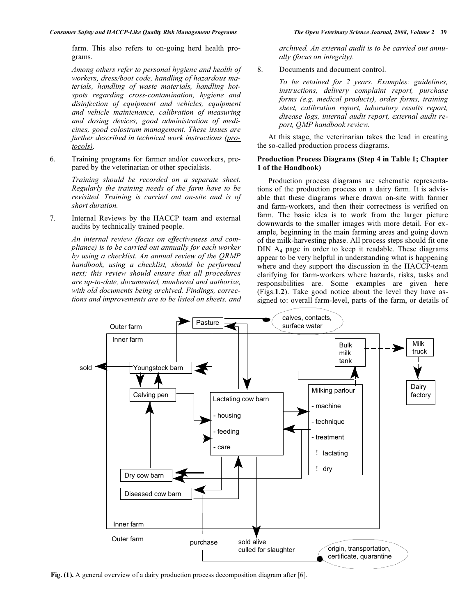farm. This also refers to on-going herd health programs.

 *Among others refer to personal hygiene and health of workers, dress/boot code, handling of hazardous materials, handling of waste materials, handling hotspots regarding cross-contamination, hygiene and disinfection of equipment and vehicles, equipment and vehicle maintenance, calibration of measuring and dosing devices, good administration of medicines, good colostrum management. These issues are further described in technical work instructions (protocols).* 

6. Training programs for farmer and/or coworkers, prepared by the veterinarian or other specialists.

> *Training should be recorded on a separate sheet. Regularly the training needs of the farm have to be revisited. Training is carried out on-site and is of short duration.*

7. Internal Reviews by the HACCP team and external audits by technically trained people.

> *An internal review (focus on effectiveness and compliance) is to be carried out annually for each worker by using a checklist. An annual review of the QRMP handbook, using a checklist, should be performed next; this review should ensure that all procedures are up-to-date, documented, numbered and authorize, with old documents being archived. Findings, corrections and improvements are to be listed on sheets, and*

*archived. An external audit is to be carried out annually (focus on integrity).* 

8. Documents and document control.

 *To be retained for 2 years. Examples: guidelines, instructions, delivery complaint report, purchase forms (e.g. medical products), order forms, training sheet, calibration report, laboratory results report, disease logs, internal audit report, external audit report, QMP handbook review.* 

 At this stage, the veterinarian takes the lead in creating the so-called production process diagrams.

#### **Production Process Diagrams (Step 4 in Table 1; Chapter 1 of the Handbook)**

 Production process diagrams are schematic representations of the production process on a dairy farm. It is advisable that these diagrams where drawn on-site with farmer and farm-workers, and then their correctness is verified on farm. The basic idea is to work from the larger picture downwards to the smaller images with more detail. For example, beginning in the main farming areas and going down of the milk-harvesting phase. All process steps should fit one DIN A4 page in order to keep it readable. These diagrams appear to be very helpful in understanding what is happening where and they support the discussion in the HACCP-team clarifying for farm-workers where hazards, risks, tasks and responsibilities are. Some examples are given here (Figs.**1**,**2**). Take good notice about the level they have assigned to: overall farm-level, parts of the farm, or details of



**Fig. (1).** A general overview of a dairy production process decomposition diagram after [6].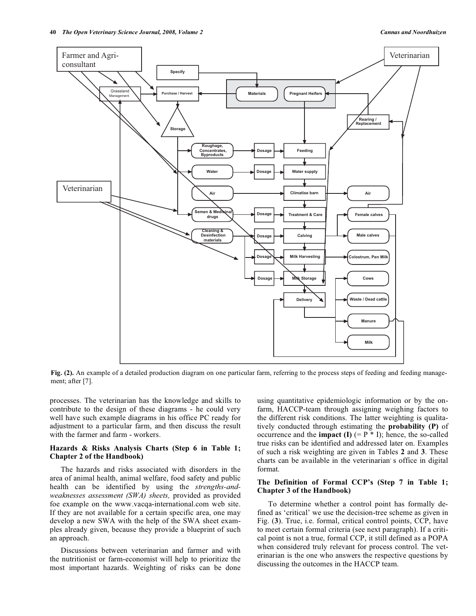

**Fig. (2).** An example of a detailed production diagram on one particular farm, referring to the process steps of feeding and feeding management; after [7].

processes. The veterinarian has the knowledge and skills to contribute to the design of these diagrams - he could very well have such example diagrams in his office PC ready for adjustment to a particular farm, and then discuss the result with the farmer and farm - workers.

# **Hazards & Risks Analysis Charts (Step 6 in Table 1; Chapter 2 of the Handbook)**

 The hazards and risks associated with disorders in the area of animal health, animal welfare, food safety and public health can be identified by using the *strengths-andweaknesses assessment (SWA) sheets,* provided as provided foe example on the www.vacqa-international.com web site. If they are not available for a certain specific area, one may develop a new SWA with the help of the SWA sheet examples already given, because they provide a blueprint of such an approach.

 Discussions between veterinarian and farmer and with the nutritionist or farm-economist will help to prioritize the most important hazards. Weighting of risks can be done

using quantitative epidemiologic information or by the onfarm, HACCP-team through assigning weighing factors to the different risk conditions. The latter weighting is qualitatively conducted through estimating the **probability (P)** of occurrence and the **impact** (I)  $(= P * I)$ ; hence, the so-called true risks can be identified and addressed later on. Examples of such a risk weighting are given in Tables **2** and **3**. These charts can be available in the veterinarian's office in digital format.

## **The Definition of Formal CCP's (Step 7 in Table 1; Chapter 3 of the Handbook)**

 To determine whether a control point has formally defined as 'critical' we use the decision-tree scheme as given in Fig. (**3**). True, i.e. formal, critical control points, CCP, have to meet certain formal criteria (see next paragraph). If a critical point is not a true, formal CCP, it still defined as a POPA when considered truly relevant for process control. The veterinarian is the one who answers the respective questions by discussing the outcomes in the HACCP team.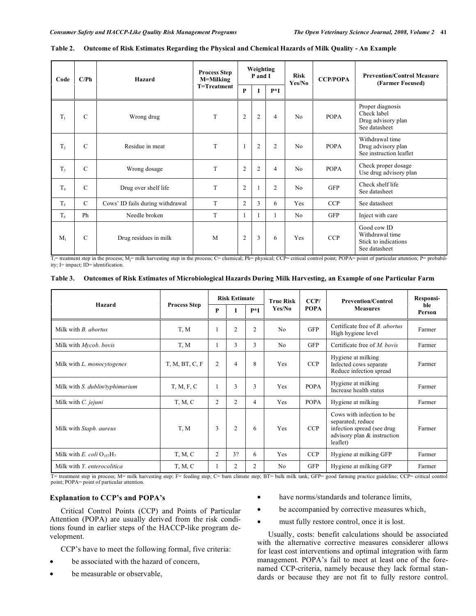| Code           | C/Ph          | Hazard                           | <b>Process Step</b><br>M=Milking | Weighting<br>P and I |                |                | <b>Risk</b><br>Yes/No | <b>CCP/POPA</b> | <b>Prevention/Control Measure</b><br>(Farmer Focused)                   |
|----------------|---------------|----------------------------------|----------------------------------|----------------------|----------------|----------------|-----------------------|-----------------|-------------------------------------------------------------------------|
|                |               |                                  | T=Treatment                      | P                    |                | $P*I$          |                       |                 |                                                                         |
| $T_1$          | $\mathcal{C}$ | Wrong drug                       | T                                | $\overline{2}$       | 2              | $\overline{4}$ | N <sub>0</sub>        | <b>POPA</b>     | Proper diagnosis<br>Check label<br>Drug advisory plan<br>See datasheet  |
| T <sub>2</sub> | $\mathcal{C}$ | Residue in meat                  | T                                | $\mathbf{1}$         | $\overline{c}$ | $\overline{c}$ | N <sub>0</sub>        | <b>POPA</b>     | Withdrawal time<br>Drug advisory plan<br>See instruction leaflet        |
| T <sub>3</sub> | $\mathcal{C}$ | Wrong dosage                     | T                                | $\overline{2}$       | $\overline{2}$ | $\overline{4}$ | N <sub>0</sub>        | <b>POPA</b>     | Check proper dosage<br>Use drug advisory plan                           |
| $T_4$          | $\mathcal{C}$ | Drug over shelf life             | T                                | $\overline{2}$       |                | 2              | N <sub>0</sub>        | <b>GFP</b>      | Check shelf life<br>See datasheet                                       |
| $T_5$          | $\mathcal{C}$ | Cows' ID fails during withdrawal | T                                | $\overline{2}$       | 3              | 6              | Yes                   | <b>CCP</b>      | See datasheet                                                           |
| T <sub>6</sub> | Ph            | Needle broken                    | T                                | $\mathbf{1}$         | 1              | 1              | N <sub>0</sub>        | GFP             | Inject with care                                                        |
| $M_1$          | $\mathcal{C}$ | Drug residues in milk            | M                                | $\overline{2}$       | 3              | 6              | Yes                   | <b>CCP</b>      | Good cow ID<br>Withdrawal time<br>Stick to indications<br>See datasheet |

#### **Table 2. Outcome of Risk Estimates Regarding the Physical and Chemical Hazards of Milk Quality - An Example**

 $T_i$  treatment step in the process;  $M_i$ = milk harvesting step in the process; C= chemical; Ph= physical; CCP= critical control point; POPA= point of particular attention; P= probability; I= impact; ID= identification.

| Table 3. Outcomes of Risk Estimates of Microbiological Hazards During Milk Harvesting, an Example of one Particular Farm |  |  |  |
|--------------------------------------------------------------------------------------------------------------------------|--|--|--|
|                                                                                                                          |  |  |  |

|                                 |                     | <b>Risk Estimate</b> |                |                | <b>True Risk</b> | CCP/                                                                                                                                   | <b>Prevention/Control</b>                                               | Responsi-     |  |
|---------------------------------|---------------------|----------------------|----------------|----------------|------------------|----------------------------------------------------------------------------------------------------------------------------------------|-------------------------------------------------------------------------|---------------|--|
| Hazard                          | <b>Process Step</b> | P                    |                | $P*I$          | Yes/No           | <b>POPA</b>                                                                                                                            | <b>Measures</b>                                                         | ble<br>Person |  |
| Milk with <i>B. abortus</i>     | T, M                |                      | $\overline{2}$ | $\overline{2}$ | N <sub>0</sub>   | <b>GFP</b>                                                                                                                             | Certificate free of <i>B. abortus</i><br>High hygiene level             | Farmer        |  |
| Milk with Mycob. bovis          | T, M                |                      | 3              | 3              | N <sub>o</sub>   | <b>GFP</b>                                                                                                                             | Certificate free of <i>M. bovis</i>                                     | Farmer        |  |
| Milk with L. monocytogenes      | T, M, BT, C, F      | $\overline{2}$       | $\overline{4}$ | 8              | Yes              | <b>CCP</b>                                                                                                                             | Hygiene at milking<br>Infected cows separate<br>Reduce infection spread | Farmer        |  |
| Milk with S. dublin/typhimurium | T, M, F, C          |                      | 3              | 3              | Yes              | <b>POPA</b>                                                                                                                            | Hygiene at milking<br>Increase health status                            | Farmer        |  |
| Milk with <i>C. jejuni</i>      | T, M, C             | 2                    | 2              | $\overline{4}$ | Yes              | <b>POPA</b>                                                                                                                            | Hygiene at milking                                                      | Farmer        |  |
| Milk with Staph. aureus         | T, M                | 3                    | $\overline{c}$ | 6              | Yes              | Cows with infection to be.<br>separated; reduce<br>infection spread (see drug<br><b>CCP</b><br>advisory plan & instruction<br>leaflet) |                                                                         | Farmer        |  |
| Milk with E. coli $O_{157}H_7$  | T, M, C             | $\overline{2}$       | 3?             | 6              | Yes              | <b>CCP</b>                                                                                                                             | Hygiene at milking GFP                                                  | Farmer        |  |
| Milk with Y. enterocolitica     | T, M, C             |                      | 2              | 2              | N <sub>0</sub>   | <b>GFP</b>                                                                                                                             | Hygiene at milking GFP                                                  | Farmer        |  |

T= treatment step in process; M= milk harvesting step; F= feeding step; C= barn climate step; BT= bulk milk tank; GFP= good farming practice guideline; CCP= critical control point; POPA= point of particular attention.

# **Explanation to CCP's and POPA's**

 Critical Control Points (CCP) and Points of Particular Attention (POPA) are usually derived from the risk conditions found in earlier steps of the HACCP-like program development.

CCP's have to meet the following formal, five criteria:

- be associated with the hazard of concern,
- be measurable or observable,
- have norms/standards and tolerance limits,
- be accompanied by corrective measures which,
- must fully restore control, once it is lost.

 Usually, costs: benefit calculations should be associated with the alternative corrective measures considerer allows for least cost interventions and optimal integration with farm management. POPA's fail to meet at least one of the forenamed CCP-criteria, namely because they lack formal standards or because they are not fit to fully restore control.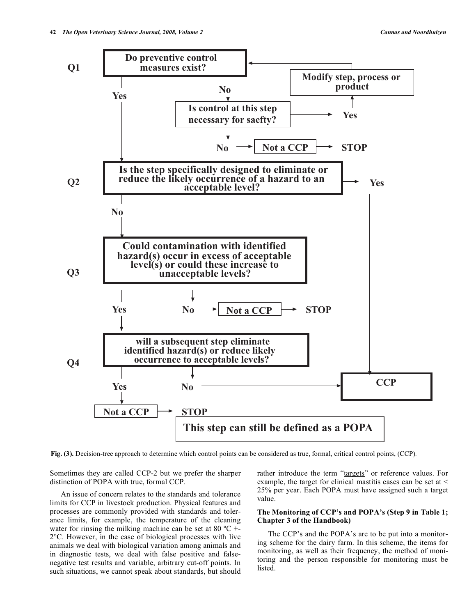

**Fig. (3).** Decision-tree approach to determine which control points can be considered as true, formal, critical control points, (CCP)*.* 

Sometimes they are called CCP-2 but we prefer the sharper distinction of POPA with true, formal CCP.

 An issue of concern relates to the standards and tolerance limits for CCP in livestock production. Physical features and processes are commonly provided with standards and tolerance limits, for example, the temperature of the cleaning water for rinsing the milking machine can be set at 80  $^{\circ}$ C +-2°C. However, in the case of biological processes with live animals we deal with biological variation among animals and in diagnostic tests, we deal with false positive and falsenegative test results and variable, arbitrary cut-off points. In such situations, we cannot speak about standards, but should rather introduce the term "targets" or reference values. For example, the target for clinical mastitis cases can be set at < 25% per year. Each POPA must have assigned such a target value.

## **The Monitoring of CCP's and POPA's (Step 9 in Table 1; Chapter 3 of the Handbook)**

 The CCP's and the POPA's are to be put into a monitoring scheme for the dairy farm. In this scheme, the items for monitoring, as well as their frequency, the method of monitoring and the person responsible for monitoring must be listed.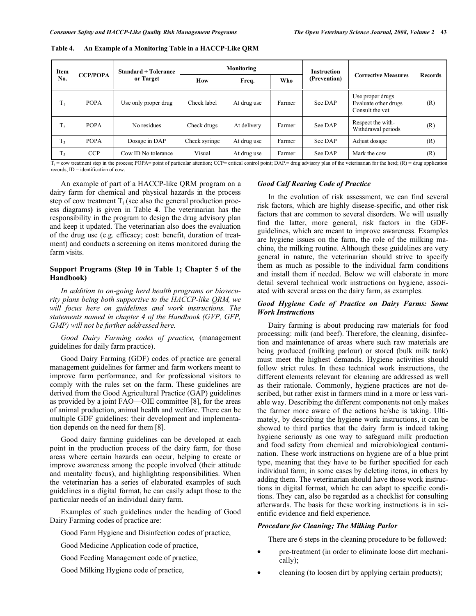| Item           |                 | <b>Standard + Tolerance</b> |               | Monitoring  |        | <b>Instruction</b> |                                                             |                |  |
|----------------|-----------------|-----------------------------|---------------|-------------|--------|--------------------|-------------------------------------------------------------|----------------|--|
| No.            | <b>CCP/POPA</b> | or Target                   | <b>How</b>    | Freq.       | Who    | (Prevention)       | <b>Corrective Measures</b>                                  | <b>Records</b> |  |
| $T_1$          | <b>POPA</b>     | Use only proper drug        | Check label   | At drug use | Farmer | See DAP            | Use proper drugs<br>Evaluate other drugs<br>Consult the yet | (R)            |  |
| T <sub>2</sub> | <b>POPA</b>     | No residues                 | Check drugs   | At delivery | Farmer | See DAP            | Respect the with-<br>Withdrawal periods                     | (R)            |  |
| T <sub>3</sub> | <b>POPA</b>     | Dosage in DAP               | Check syringe | At drug use | Farmer | See DAP            | Adjust dosage                                               | (R)            |  |
| $T_5$          | <b>CCP</b>      | Cow ID No tolerance         | Visual        | At drug use | Farmer | See DAP            | Mark the cow                                                | (R)            |  |

**Table 4. An Example of a Monitoring Table in a HACCP-Like QRM** 

 $T_i$  = cow treatment step in the process; POPA= point of particular attention; CCP= critical control point; DAP.= drug advisory plan of the veterinarian for the herd; (R) = drug application records; ID = identification of cow.

 An example of part of a HACCP-like QRM program on a dairy farm for chemical and physical hazards in the process step of cow treatment  $T_i$  (see also the general production process diagrams**)** is given in Table **4**. The veterinarian has the responsibility in the program to design the drug advisory plan and keep it updated. The veterinarian also does the evaluation of the drug use (e.g. efficacy; cost: benefit, duration of treatment) and conducts a screening on items monitored during the farm visits.

# **Support Programs (Step 10 in Table 1; Chapter 5 of the Handbook)**

 *In addition to on-going herd health programs or biosecurity plans being both supportive to the HACCP-like QRM, we will focus here on guidelines and work instructions. The statements named in chapter 4 of the Handbook (GVP, GFP, GMP) will not be further addressed here.* 

 *Good Dairy Farming codes of practice,* (management guidelines for daily farm practice).

 Good Dairy Farming (GDF) codes of practice are general management guidelines for farmer and farm workers meant to improve farm performance, and for professional visitors to comply with the rules set on the farm. These guidelines are derived from the Good Agricultural Practice (GAP) guidelines as provided by a joint FAO—OIE committee [8], for the areas of animal production, animal health and welfare. There can be multiple GDF guidelines: their development and implementation depends on the need for them [8].

 Good dairy farming guidelines can be developed at each point in the production process of the dairy farm, for those areas where certain hazards can occur, helping to create or improve awareness among the people involved (their attitude and mentality focus), and highlighting responsibilities. When the veterinarian has a series of elaborated examples of such guidelines in a digital format, he can easily adapt those to the particular needs of an individual dairy farm.

 Examples of such guidelines under the heading of Good Dairy Farming codes of practice are:

Good Farm Hygiene and Disinfection codes of practice,

Good Medicine Application code of practice,

Good Feeding Management code of practice,

Good Milking Hygiene code of practice,

### *Good Calf Rearing Code of Practice*

 In the evolution of risk assessment, we can find several risk factors, which are highly disease-specific, and other risk factors that are common to several disorders. We will usually find the latter, more general, risk factors in the GDFguidelines, which are meant to improve awareness. Examples are hygiene issues on the farm, the role of the milking machine, the milking routine. Although these guidelines are very general in nature, the veterinarian should strive to specify them as much as possible to the individual farm conditions and install them if needed. Below we will elaborate in more detail several technical work instructions on hygiene, associated with several areas on the dairy farm, as examples.

#### *Good Hygiene Code of Practice on Dairy Farms: Some Work Instructions*

 Dairy farming is about producing raw materials for food processing: milk (and beef). Therefore, the cleaning, disinfection and maintenance of areas where such raw materials are being produced (milking parlour) or stored (bulk milk tank) must meet the highest demands. Hygiene activities should follow strict rules. In these technical work instructions, the different elements relevant for cleaning are addressed as well as their rationale. Commonly, hygiene practices are not described, but rather exist in farmers mind in a more or less variable way. Describing the different components not only makes the farmer more aware of the actions he/she is taking. Ultimately, by describing the hygiene work instructions, it can be showed to third parties that the dairy farm is indeed taking hygiene seriously as one way to safeguard milk production and food safety from chemical and microbiological contamination. These work instructions on hygiene are of a blue print type, meaning that they have to be further specified for each individual farm; in some cases by deleting items, in others by adding them. The veterinarian should have those work instructions in digital format, which he can adapt to specific conditions. They can, also be regarded as a checklist for consulting afterwards. The basis for these working instructions is in scientific evidence and field experience.

# *Procedure for Cleaning; The Milking Parlor*

There are 6 steps in the cleaning procedure to be followed:

- pre-treatment (in order to eliminate loose dirt mechanically);
- cleaning (to loosen dirt by applying certain products);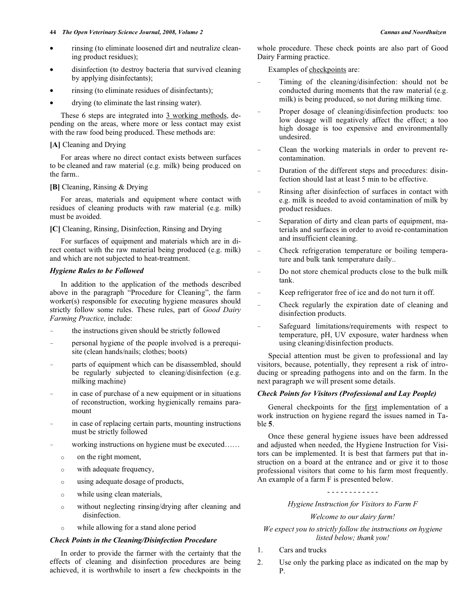- rinsing (to eliminate loosened dirt and neutralize cleaning product residues);
- disinfection (to destroy bacteria that survived cleaning by applying disinfectants);
- rinsing (to eliminate residues of disinfectants);
- drying (to eliminate the last rinsing water).

These 6 steps are integrated into 3 working methods, depending on the areas, where more or less contact may exist with the raw food being produced. These methods are:

#### **[A]** Cleaning and Drying

 For areas where no direct contact exists between surfaces to be cleaned and raw material (e.g. milk) being produced on the farm..

#### **[B]** Cleaning, Rinsing & Drying

 For areas, materials and equipment where contact with residues of cleaning products with raw material (e.g. milk) must be avoided.

## **[C]** Cleaning, Rinsing, Disinfection, Rinsing and Drying

 For surfaces of equipment and materials which are in direct contact with the raw material being produced (e.g. milk) and which are not subjected to heat-treatment.

#### *Hygiene Rules to be Followed*

 In addition to the application of the methods described above in the paragraph "Procedure for Cleaning", the farm worker(s) responsible for executing hygiene measures should strictly follow some rules. These rules, part of *Good Dairy Farming Practice,* include:

- the instructions given should be strictly followed
- personal hygiene of the people involved is a prerequisite (clean hands/nails; clothes; boots)
- parts of equipment which can be disassembled, should be regularly subjected to cleaning/disinfection (e.g. milking machine)
- in case of purchase of a new equipment or in situations of reconstruction, working hygienically remains paramount
- in case of replacing certain parts, mounting instructions must be strictly followed
- working instructions on hygiene must be executed……
	- o on the right moment,
	- o with adequate frequency,
	- o using adequate dosage of products,
	- o while using clean materials,
	- o without neglecting rinsing/drying after cleaning and disinfection.
	- o while allowing for a stand alone period

# *Check Points in the Cleaning/Disinfection Procedure*

 In order to provide the farmer with the certainty that the effects of cleaning and disinfection procedures are being achieved, it is worthwhile to insert a few checkpoints in the

whole procedure. These check points are also part of Good Dairy Farming practice.

Examples of checkpoints are:

- Timing of the cleaning/disinfection: should not be conducted during moments that the raw material (e.g. milk) is being produced, so not during milking time.
- Proper dosage of cleaning/disinfection products: too low dosage will negatively affect the effect; a too high dosage is too expensive and environmentally undesired.
- Clean the working materials in order to prevent recontamination.
- Duration of the different steps and procedures: disinfection should last at least 5 min to be effective.
- Rinsing after disinfection of surfaces in contact with e.g. milk is needed to avoid contamination of milk by product residues.
- Separation of dirty and clean parts of equipment, materials and surfaces in order to avoid re-contamination and insufficient cleaning.
- Check refrigeration temperature or boiling temperature and bulk tank temperature daily..
- Do not store chemical products close to the bulk milk tank.
- Keep refrigerator free of ice and do not turn it off.
- Check regularly the expiration date of cleaning and disinfection products.
- Safeguard limitations/requirements with respect to temperature, pH, UV exposure, water hardness when using cleaning/disinfection products.

 Special attention must be given to professional and lay visitors, because, potentially, they represent a risk of introducing or spreading pathogens into and on the farm. In the next paragraph we will present some details.

# *Check Points for Visitors (Professional and Lay People)*

 General checkpoints for the first implementation of a work instruction on hygiene regard the issues named in Table **5**.

 Once these general hygiene issues have been addressed and adjusted when needed, the Hygiene Instruction for Visitors can be implemented. It is best that farmers put that instruction on a board at the entrance and or give it to those professional visitors that come to his farm most frequently. An example of a farm F is presented below.

#### - - - - - - - - - - - -

*Hygiene Instruction for Visitors to Farm F* 

*Welcome to our dairy farm!* 

*We expect you to strictly follow the instructions on hygiene listed below; thank you!* 

- 1. Cars and trucks
- 2. Use only the parking place as indicated on the map by P.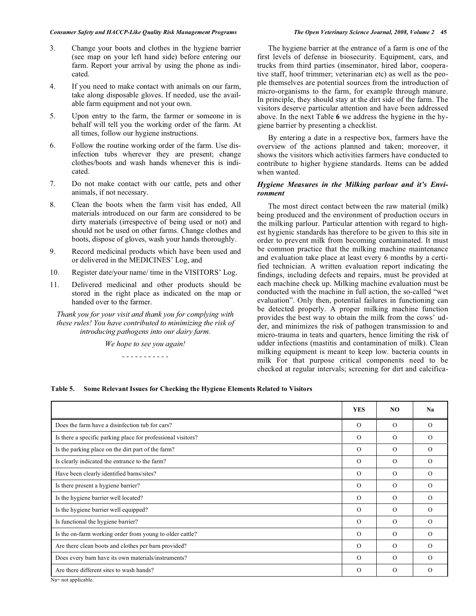#### *Consumer Safety and HACCP-Like Quality Risk Management Programs The Open Veterinary Science Journal, 2008, Volume 2* **45**

- 3. Change your boots and clothes in the hygiene barrier (see map on your left hand side) before entering our farm. Report your arrival by using the phone as indicated.
- 4. If you need to make contact with animals on our farm, take along disposable gloves. If needed, use the available farm equipment and not your own.
- 5. Upon entry to the farm, the farmer or someone in is behalf will tell you the working order of the farm. At all times, follow our hygiene instructions.
- 6. Follow the routine working order of the farm. Use disinfection tubs wherever they are present; change clothes/boots and wash hands whenever this is indicated.
- 7. Do not make contact with our cattle, pets and other animals, if not necessary.
- 8. Clean the boots when the farm visit has ended, All materials introduced on our farm are considered to be dirty materials (irrespective of being used or not) and should not be used on other farms. Change clothes and boots, dispose of gloves, wash your hands thoroughly.
- 9. Record medicinal products which have been used and or delivered in the MEDICINES' Log, and
- 10. Register date/your name/ time in the VISITORS' Log.
- 11. Delivered medicinal and other products should be stored in the right place as indicated on the map or handed over to the farmer.

*Thank you for your visit and thank you for complying with these rules! You have contributed to minimizing the risk of introducing pathogens into our dairy farm.* 

*We hope to see you again!* 

*- - - - - - - - - - -* 

 The hygiene barrier at the entrance of a farm is one of the first levels of defense in biosecurity. Equipment, cars, and trucks from third parties (inseminator, hired labor, cooperative staff, hoof trimmer; veterinarian etc) as well as the people themselves are potential sources from the introduction of micro-organisms to the farm, for example through manure. In principle, they should stay at the dirt side of the farm. The visitors deserve particular attention and have been addressed above. In the next Table **6** we address the hygiene in the hygiene barrier by presenting a checklist.

 By entering a date in a respective box, farmers have the overview of the actions planned and taken; moreover, it shows the visitors which activities farmers have conducted to contribute to higher hygiene standards. Items can be added when wanted.

## *Hygiene Measures in the Milking parlour and it's Environment*

 The most direct contact between the raw material (milk) being produced and the environment of production occurs in the milking parlour. Particular attention with regard to highest hygienic standards has therefore to be given to this site in order to prevent milk from becoming contaminated. It must be common practice that the milking machine maintenance and evaluation take place at least every 6 months by a certified technician. A written evaluation report indicating the findings, including defects and repairs, must be provided at each machine check up. Milking machine evaluation must be conducted with the machine in full action, the so-called "wet evaluation". Only then, potential failures in functioning can be detected properly. A proper milking machine function provides the best way to obtain the milk from the cows' udder, and minimizes the risk of pathogen transmission to and micro-trauma in teats and quarters, hence limiting the risk of udder infections (mastitis and contamination of milk). Clean milking equipment is meant to keep low. bacteria counts in milk For that purpose critical components need to be checked at regular intervals; screening for dirt and calcifica-

**Table 5. Some Relevant Issues for Checking the Hygiene Elements Related to Visitors** 

|                                                                                                                                                                                                                                                                                                                                      | <b>YES</b> | NO.      | Na       |
|--------------------------------------------------------------------------------------------------------------------------------------------------------------------------------------------------------------------------------------------------------------------------------------------------------------------------------------|------------|----------|----------|
| Does the farm have a disinfection tub for cars?                                                                                                                                                                                                                                                                                      | $\Omega$   | $\Omega$ | $\Omega$ |
| Is there a specific parking place for professional visitors?                                                                                                                                                                                                                                                                         | $\Omega$   | $\Omega$ | $\Omega$ |
| Is the parking place on the dirt part of the farm?                                                                                                                                                                                                                                                                                   | $\Omega$   | $\Omega$ | $\Omega$ |
| Is clearly indicated the entrance to the farm?                                                                                                                                                                                                                                                                                       | $\Omega$   | $\Omega$ | $\Omega$ |
| Have been clearly identified barns/sites?                                                                                                                                                                                                                                                                                            | $\Omega$   | $\Omega$ | $\Omega$ |
| Is there present a hygiene barrier?                                                                                                                                                                                                                                                                                                  | $\Omega$   | $\Omega$ | $\Omega$ |
| Is the hygiene barrier well located?                                                                                                                                                                                                                                                                                                 | $\Omega$   | $\Omega$ | $\Omega$ |
| Is the hygiene barrier well equipped?                                                                                                                                                                                                                                                                                                | $\Omega$   | $\Omega$ | $\Omega$ |
| Is functional the hygiene barrier?                                                                                                                                                                                                                                                                                                   | $\Omega$   | $\Omega$ | $\Omega$ |
| Is the on-farm working order from young to older cattle?                                                                                                                                                                                                                                                                             | $\Omega$   | $\Omega$ | $\Omega$ |
| Are there clean boots and clothes per barn provided?                                                                                                                                                                                                                                                                                 | $\Omega$   | $\Omega$ | $\Omega$ |
| Does every barn have its own materials/instruments?                                                                                                                                                                                                                                                                                  | $\Omega$   | $\Omega$ | $\Omega$ |
| Are there different sites to wash hands?<br>$\mathbf{M} = \{x_1, x_2, x_3, x_4, x_5, x_6, x_7, x_8, x_9, x_1, x_2, x_3, x_4, x_5, x_6, x_7, x_8, x_9, x_1, x_2, x_3, x_4, x_5, x_6, x_7, x_8, x_9, x_1, x_2, x_3, x_4, x_5, x_6, x_7, x_8, x_9, x_1, x_2, x_3, x_4, x_5, x_6, x_7, x_8, x_9, x_1, x_2, x_3, x_4, x_5, x_6, x_7, x_8$ | $\Omega$   | $\Omega$ | $\Omega$ |

Na= not applicable.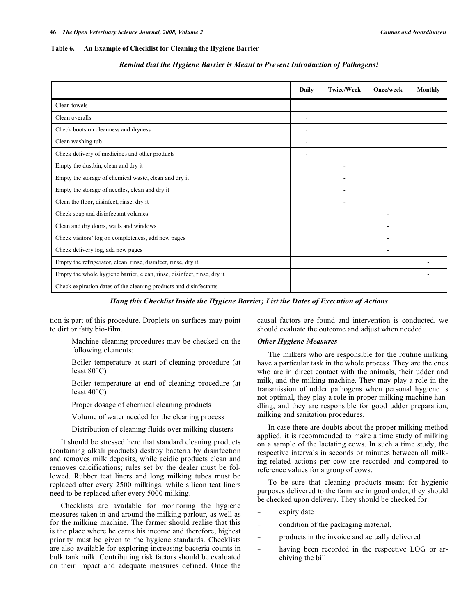#### **Table 6. An Example of Checklist for Cleaning the Hygiene Barrier**

|                                                                         | Daily                    | <b>Twice/Week</b>        | Once/week | Monthly |
|-------------------------------------------------------------------------|--------------------------|--------------------------|-----------|---------|
| Clean towels                                                            | $\overline{\phantom{a}}$ |                          |           |         |
| Clean overalls                                                          |                          |                          |           |         |
| Check boots on cleanness and dryness                                    |                          |                          |           |         |
| Clean washing tub                                                       | $\overline{\phantom{a}}$ |                          |           |         |
| Check delivery of medicines and other products                          | ٠                        |                          |           |         |
| Empty the dustbin, clean and dry it                                     |                          | $\overline{\phantom{a}}$ |           |         |
| Empty the storage of chemical waste, clean and dry it                   |                          | ۰                        |           |         |
| Empty the storage of needles, clean and dry it                          |                          |                          |           |         |
| Clean the floor, disinfect, rinse, dry it                               |                          |                          |           |         |
| Check soap and disinfectant volumes                                     |                          |                          |           |         |
| Clean and dry doors, walls and windows                                  |                          |                          |           |         |
| Check visitors' log on completeness, add new pages                      |                          |                          |           |         |
| Check delivery log, add new pages                                       |                          |                          |           |         |
| Empty the refrigerator, clean, rinse, disinfect, rinse, dry it          |                          |                          |           |         |
| Empty the whole hygiene barrier, clean, rinse, disinfect, rinse, dry it |                          |                          |           |         |
| Check expiration dates of the cleaning products and disinfectants       |                          |                          |           |         |

#### *Remind that the Hygiene Barrier is Meant to Prevent Introduction of Pathogens!*

*Hang this Checklist Inside the Hygiene Barrier; List the Dates of Execution of Actions* 

tion is part of this procedure. Droplets on surfaces may point to dirt or fatty bio-film.

> Machine cleaning procedures may be checked on the following elements:

> Boiler temperature at start of cleaning procedure (at least 80°C)

> Boiler temperature at end of cleaning procedure (at least  $40^{\circ}$ C)

Proper dosage of chemical cleaning products

Volume of water needed for the cleaning process

Distribution of cleaning fluids over milking clusters

 It should be stressed here that standard cleaning products (containing alkali products) destroy bacteria by disinfection and removes milk deposits, while acidic products clean and removes calcifications; rules set by the dealer must be followed. Rubber teat liners and long milking tubes must be replaced after every 2500 milkings, while silicon teat liners need to be replaced after every 5000 milking.

 Checklists are available for monitoring the hygiene measures taken in and around the milking parlour, as well as for the milking machine. The farmer should realise that this is the place where he earns his income and therefore, highest priority must be given to the hygiene standards. Checklists are also available for exploring increasing bacteria counts in bulk tank milk. Contributing risk factors should be evaluated on their impact and adequate measures defined. Once the

causal factors are found and intervention is conducted, we should evaluate the outcome and adjust when needed.

#### *Other Hygiene Measures*

 The milkers who are responsible for the routine milking have a particular task in the whole process. They are the ones who are in direct contact with the animals, their udder and milk, and the milking machine. They may play a role in the transmission of udder pathogens when personal hygiene is not optimal, they play a role in proper milking machine handling, and they are responsible for good udder preparation, milking and sanitation procedures.

 In case there are doubts about the proper milking method applied, it is recommended to make a time study of milking on a sample of the lactating cows. In such a time study, the respective intervals in seconds or minutes between all milking-related actions per cow are recorded and compared to reference values for a group of cows.

 To be sure that cleaning products meant for hygienic purposes delivered to the farm are in good order, they should be checked upon delivery. They should be checked for:

- expiry date
- condition of the packaging material,
- products in the invoice and actually delivered
- having been recorded in the respective LOG or archiving the bill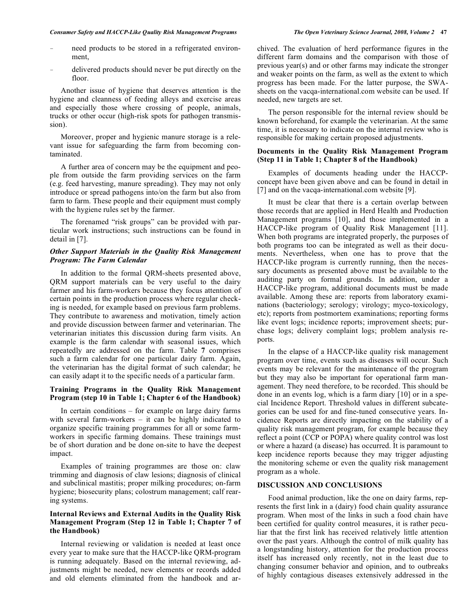- need products to be stored in a refrigerated environment,
- delivered products should never be put directly on the floor.

 Another issue of hygiene that deserves attention is the hygiene and cleanness of feeding alleys and exercise areas and especially those where crossing of people, animals, trucks or other occur (high-risk spots for pathogen transmission).

 Moreover, proper and hygienic manure storage is a relevant issue for safeguarding the farm from becoming contaminated.

 A further area of concern may be the equipment and people from outside the farm providing services on the farm (e.g. feed harvesting, manure spreading). They may not only introduce or spread pathogens into/on the farm but also from farm to farm. These people and their equipment must comply with the hygiene rules set by the farmer.

 The forenamed "risk groups" can be provided with particular work instructions; such instructions can be found in detail in [7].

# *Other Support Materials in the Quality Risk Management Program: The Farm Calendar*

 In addition to the formal QRM-sheets presented above, QRM support materials can be very useful to the dairy farmer and his farm-workers because they focus attention of certain points in the production process where regular checking is needed, for example based on previous farm problems. They contribute to awareness and motivation, timely action and provide discussion between farmer and veterinarian. The veterinarian initiates this discussion during farm visits. An example is the farm calendar with seasonal issues, which repeatedly are addressed on the farm. Table **7** comprises such a farm calendar for one particular dairy farm. Again, the veterinarian has the digital format of such calendar; he can easily adapt it to the specific needs of a particular farm.

# **Training Programs in the Quality Risk Management Program (step 10 in Table 1; Chapter 6 of the Handbook)**

 In certain conditions – for example on large dairy farms with several farm-workers – it can be highly indicated to organize specific training programmes for all or some farmworkers in specific farming domains. These trainings must be of short duration and be done on-site to have the deepest impact.

 Examples of training programmes are those on: claw trimming and diagnosis of claw lesions; diagnosis of clinical and subclinical mastitis; proper milking procedures; on-farm hygiene; biosecurity plans; colostrum management; calf rearing systems.

# **Internal Reviews and External Audits in the Quality Risk Management Program (Step 12 in Table 1; Chapter 7 of the Handbook)**

 Internal reviewing or validation is needed at least once every year to make sure that the HACCP-like QRM-program is running adequately. Based on the internal reviewing, adjustments might be needed, new elements or records added and old elements eliminated from the handbook and archived. The evaluation of herd performance figures in the different farm domains and the comparison with those of previous year(s) and or other farms may indicate the stronger and weaker points on the farm, as well as the extent to which progress has been made. For the latter purpose, the SWAsheets on the vacqa-international.com website can be used. If needed, new targets are set.

 The person responsible for the internal review should be known beforehand, for example the veterinarian. At the same time, it is necessary to indicate on the internal review who is responsible for making certain proposed adjustments.

#### **Documents in the Quality Risk Management Program (Step 11 in Table 1; Chapter 8 of the Handbook)**

 Examples of documents heading under the HACCPconcept have been given above and can be found in detail in [7] and on the vacqa-international.com website [9].

 It must be clear that there is a certain overlap between those records that are applied in Herd Health and Production Management programs [10], and those implemented in a HACCP-like program of Quality Risk Management [11]. When both programs are integrated properly, the purposes of both programs too can be integrated as well as their documents. Nevertheless, when one has to prove that the HACCP-like program is currently running, then the necessary documents as presented above must be available to the auditing party on formal grounds. In addition, under a HACCP-like program, additional documents must be made available. Among these are: reports from laboratory examinations (bacteriology; serology; virology; myco-toxicology, etc); reports from postmortem examinations; reporting forms like event logs; incidence reports; improvement sheets; purchase logs; delivery complaint logs; problem analysis reports.

 In the elapse of a HACCP-like quality risk management program over time, events such as diseases will occur. Such events may be relevant for the maintenance of the program but they may also be important for operational farm management. They need therefore, to be recorded. This should be done in an events log, which is a farm diary [10] or in a special Incidence Report. Threshold values in different subcategories can be used for and fine-tuned consecutive years. Incidence Reports are directly impacting on the stability of a quality risk management program, for example because they reflect a point (CCP or POPA) where quality control was lost or where a hazard (a disease) has occurred. It is paramount to keep incidence reports because they may trigger adjusting the monitoring scheme or even the quality risk management program as a whole.

#### **DISCUSSION AND CONCLUSIONS**

 Food animal production, like the one on dairy farms, represents the first link in a (dairy) food chain quality assurance program. When most of the links in such a food chain have been certified for quality control measures, it is rather peculiar that the first link has received relatively little attention over the past years. Although the control of milk quality has a longstanding history, attention for the production process itself has increased only recently, not in the least due to changing consumer behavior and opinion, and to outbreaks of highly contagious diseases extensively addressed in the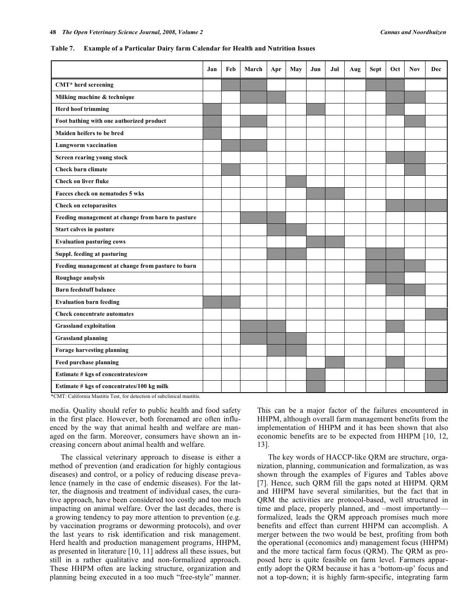|  | Table 7. Example of a Particular Dairy farm Calendar for Health and Nutrition Issues |  |
|--|--------------------------------------------------------------------------------------|--|
|  |                                                                                      |  |

| Jan | Feb | March | Apr | May | Jun | Jul | Aug | Sept | Oct | Nov | Dec |
|-----|-----|-------|-----|-----|-----|-----|-----|------|-----|-----|-----|
|     |     |       |     |     |     |     |     |      |     |     |     |
|     |     |       |     |     |     |     |     |      |     |     |     |
|     |     |       |     |     |     |     |     |      |     |     |     |
|     |     |       |     |     |     |     |     |      |     |     |     |
|     |     |       |     |     |     |     |     |      |     |     |     |
|     |     |       |     |     |     |     |     |      |     |     |     |
|     |     |       |     |     |     |     |     |      |     |     |     |
|     |     |       |     |     |     |     |     |      |     |     |     |
|     |     |       |     |     |     |     |     |      |     |     |     |
|     |     |       |     |     |     |     |     |      |     |     |     |
|     |     |       |     |     |     |     |     |      |     |     |     |
|     |     |       |     |     |     |     |     |      |     |     |     |
|     |     |       |     |     |     |     |     |      |     |     |     |
|     |     |       |     |     |     |     |     |      |     |     |     |
|     |     |       |     |     |     |     |     |      |     |     |     |
|     |     |       |     |     |     |     |     |      |     |     |     |
|     |     |       |     |     |     |     |     |      |     |     |     |
|     |     |       |     |     |     |     |     |      |     |     |     |
|     |     |       |     |     |     |     |     |      |     |     |     |
|     |     |       |     |     |     |     |     |      |     |     |     |
|     |     |       |     |     |     |     |     |      |     |     |     |
|     |     |       |     |     |     |     |     |      |     |     |     |
|     |     |       |     |     |     |     |     |      |     |     |     |
|     |     |       |     |     |     |     |     |      |     |     |     |
|     |     |       |     |     |     |     |     |      |     |     |     |
|     |     |       |     |     |     |     |     |      |     |     |     |
|     |     |       |     |     |     |     |     |      |     |     |     |

alifornia Mastitis Test, for detection of subclinical mas

media. Quality should refer to public health and food safety in the first place. However, both forenamed are often influenced by the way that animal health and welfare are managed on the farm. Moreover, consumers have shown an increasing concern about animal health and welfare.

 The classical veterinary approach to disease is either a method of prevention (and eradication for highly contagious diseases) and control, or a policy of reducing disease prevalence (namely in the case of endemic diseases). For the latter, the diagnosis and treatment of individual cases, the curative approach, have been considered too costly and too much impacting on animal welfare. Over the last decades, there is a growing tendency to pay more attention to prevention (e.g. by vaccination programs or deworming protocols), and over the last years to risk identification and risk management. Herd health and production management programs, HHPM, as presented in literature [10, 11] address all these issues, but still in a rather qualitative and non-formalized approach. These HHPM often are lacking structure, organization and planning being executed in a too much "free-style" manner. This can be a major factor of the failures encountered in HHPM, although overall farm management benefits from the implementation of HHPM and it has been shown that also economic benefits are to be expected from HHPM [10, 12, 13].

 The key words of HACCP-like QRM are structure, organization, planning, communication and formalization, as was shown through the examples of Figures and Tables above [7]. Hence, such QRM fill the gaps noted at HHPM. QRM and HHPM have several similarities, but the fact that in QRM the activities are protocol-based, well structured in time and place, properly planned, and –most importantly formalized, leads the QRM approach promises much more benefits and effect than current HHPM can accomplish. A merger between the two would be best, profiting from both the operational (economics and) management focus (HHPM) and the more tactical farm focus (QRM). The QRM as proposed here is quite feasible on farm level. Farmers apparently adopt the QRM because it has a 'bottom-up' focus and not a top-down; it is highly farm-specific, integrating farm